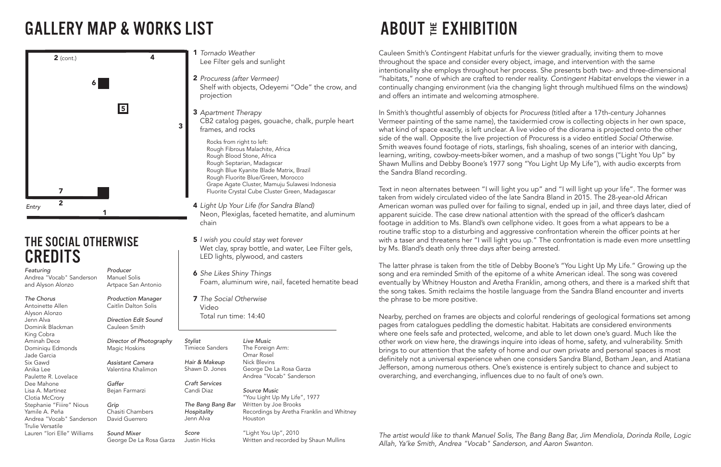Cauleen Smith's *Contingent Habitat* unfurls for the viewer gradually, inviting them to move throughout the space and consider every object, image, and intervention with the same intentionality she employs throughout her process. She presents both two- and three-dimensional "habitats," none of which are crafted to render reality. *Contingent Habitat* envelops the viewer in a continually changing environment (via the changing light through multihued films on the windows) and offers an intimate and welcoming atmosphere.

In Smith's thoughtful assembly of objects for *Procuress* (titled after a 17th-century Johannes Vermeer painting of the same name), the taxidermied crow is collecting objects in her own space, what kind of space exactly, is left unclear. A live video of the diorama is projected onto the other side of the wall. Opposite the live projection of Procuress is a video entitled *Social Otherwise*. Smith weaves found footage of riots, starlings, fish shoaling, scenes of an interior with dancing, learning, writing, cowboy-meets-biker women, and a mashup of two songs ("Light You Up" by Shawn Mullins and Debby Boone's 1977 song "You Light Up My Life"), with audio excerpts from the Sandra Bland recording.

Text in neon alternates between "I will light you up" and "I will light up your life". The former was taken from widely circulated video of the late Sandra Bland in 2015. The 28-year-old African American woman was pulled over for failing to signal, ended up in jail, and three days later, died of apparent suicide. The case drew national attention with the spread of the officer's dashcam footage in addition to Ms. Bland's own cellphone video. It goes from a what appears to be a routine traffic stop to a disturbing and aggressive confrontation wherein the officer points at her with a taser and threatens her "I will light you up." The confrontation is made even more unsettling by Ms. Bland's death only three days after being arrested.

### THE SOCIAL OTHERWISE **CREDITS**

The latter phrase is taken from the title of Debby Boone's "You Light Up My Life." Growing up the song and era reminded Smith of the epitome of a white American ideal. The song was covered eventually by Whitney Houston and Aretha Franklin, among others, and there is a marked shift that the song takes. Smith reclaims the hostile language from the Sandra Bland encounter and inverts the phrase to be more positive.

**Director of Photo** Magic Hoskins

*Assistant Camera* Valentina Khalimo Nearby, perched on frames are objects and colorful renderings of geological formations set among pages from catalogues peddling the domestic habitat. Habitats are considered environments where one feels safe and protected, welcome, and able to let down one's guard. Much like the other work on view here, the drawings inquire into ideas of home, safety, and vulnerability. Smith brings to our attention that the safety of home and our own private and personal spaces is most definitely not a universal experience when one considers Sandra Bland, Botham Jean, and Atatiana Jefferson, among numerous others. One's existence is entirely subject to chance and subject to overarching, and everchanging, influences due to no fault of one's own.

*The artist would like to thank Manuel Solis, The Bang Bang Bar, Jim Mendiola, Dorinda Rolle, Logic Allah, Ya'ke Smith, Andrea "Vocab" Sanderson, and Aaron Swanton.*

*Tornado Weather* 1 Lee Filter gels and sunlight

- *Procuress (after Vermeer)* 2 Shelf with objects, Odeyemi "Ode" the crow, and projection
- *Apartment Therapy* 3 CB2 catalog pages, gouache, chalk, purple heart frames, and rocks

 Rocks from right to left: Rough Fibrous Malachite, Africa Rough Blood Stone, Africa Rough Septarian, Madagscar Rough Blue Kyanite Blade Matrix, Brazil Rough Fluorite Blue/Green, Morocco Grape Agate Cluster, Mamuju Sulawesi Indonesia Fluorite Crystal Cube Cluster Green, Madagascar

*Light Up Your Life (for Sandra Bland)* 4 Neon, Plexiglas, faceted hematite, and aluminum chain

- *I wish you could stay wet forever* 5 Wet clay, spray bottle, and water, Lee Filter gels, LED lights, plywood, and casters
- *She Likes Shiny Things* 6 Foam, aluminum wire, nail, faceted hematite bead

*The Social Otherwise* 7 Video Total run time: 14:40

*Featuring* Andrea "Vocab" Sanderson and Alyson Alonzo

### $GALLERY MAP & WORKS LIST$  ABOUT  $E$  EXHIBITION



*The Chorus* Antoinette Allen Alyson Alonzo Jenn Alva Dominik Blackman King Cobra Aminah Dece Dominiqu Edmonds Jade Garcia Six Gawd Anika Lee Paulette R. Lovelace Dee Mahone Lisa A. Martinez Clotia McCrory Stephanie "Fiiire" Nious Yamile A. Peña Andrea "Vocab" Sanderson Trulie Versatile Lauren "lori Elle" Williams

*Producer* Manuel Solis Artpace San Antonio

*Production Manager* Caitlin Dalton Solis

*Direction Edit Sound* Cauleen Smith

*Gaffer* Bejan Farmarzi

*Grip* Chasiti Chambers David Guerrero

*Sound Mixer* George De La Rosa Garza Justin Hicks *Score*

| graphy   | Stylist<br><b>Timiece Sanders</b> | <b>Live Music</b><br>The Foreign Arm:     |
|----------|-----------------------------------|-------------------------------------------|
|          |                                   | Omar Rosel                                |
|          | Hair & Makeup                     | Nick Blevins                              |
| n        | Shawn D. Jones                    | George De La Rosa Garza                   |
|          |                                   | Andrea "Vocab" Sanderson                  |
|          | <b>Craft Services</b>             |                                           |
|          | Candi Diaz                        | Source Music                              |
|          |                                   | "You Light Up My Life", 1977              |
|          | The Bang Bang Bar                 | Written by Joe Brooks                     |
|          | Hospitality                       | Recordings by Aretha Franklin and Whitney |
|          | Jenn Alva                         | Houston                                   |
|          | Score                             | "Light You Up", 2010                      |
| sa Garza | Justin Hicks                      | Written and recorded by Shaun Mullins     |